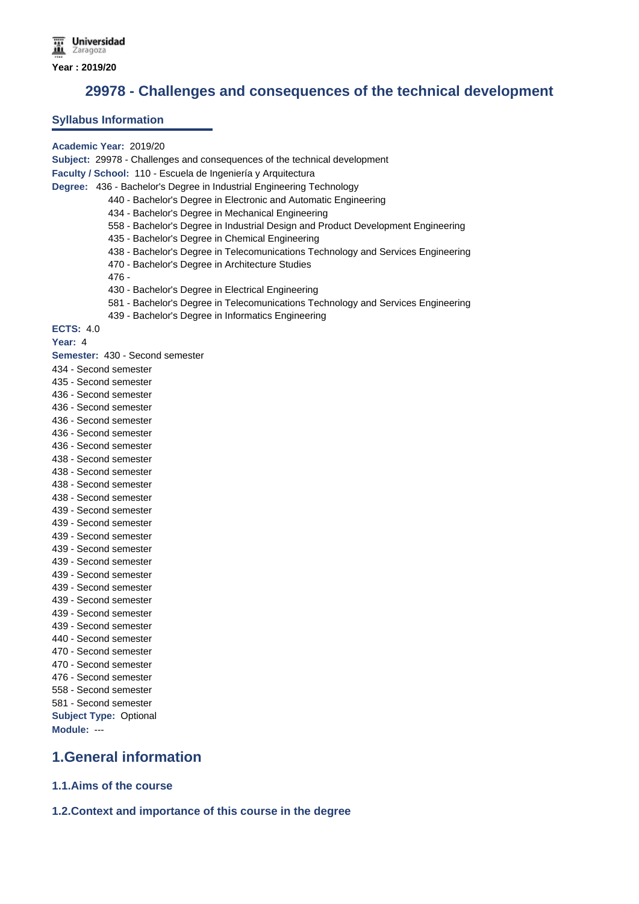**29978 - Challenges and consequences of the technical development**

### **Syllabus Information**

#### **Academic Year:** 2019/20

**Subject:** 29978 - Challenges and consequences of the technical development

**Faculty / School:** 110 - Escuela de Ingeniería y Arquitectura

**Degree:** 436 - Bachelor's Degree in Industrial Engineering Technology

- 440 Bachelor's Degree in Electronic and Automatic Engineering
- 434 Bachelor's Degree in Mechanical Engineering
- 558 Bachelor's Degree in Industrial Design and Product Development Engineering
- 435 Bachelor's Degree in Chemical Engineering
- 438 Bachelor's Degree in Telecomunications Technology and Services Engineering
- 470 Bachelor's Degree in Architecture Studies
- 476 -
- 430 Bachelor's Degree in Electrical Engineering
- 581 Bachelor's Degree in Telecomunications Technology and Services Engineering
- 439 Bachelor's Degree in Informatics Engineering

**ECTS:** 4.0

**Year:** 4

**Semester:** 430 - Second semester

- 434 Second semester
- 435 Second semester
- 436 Second semester
- 436 Second semester
- 436 Second semester
- 436 Second semester
- 436 Second semester
- 438 Second semester
- 438 Second semester 438 - Second semester
- 438 Second semester
- 439 Second semester
- 439 Second semester
- 439 Second semester
- 439 Second semester
- 439 Second semester
- 439 Second semester
- 439 Second semester
- 439 Second semester
- 439 Second semester
- 439 Second semester
- 440 Second semester
- 470 Second semester
- 470 Second semester
- 476 Second semester
- 558 Second semester
- 581 Second semester **Subject Type:** Optional

**Module:** ---

## **1.General information**

**1.1.Aims of the course**

**1.2.Context and importance of this course in the degree**